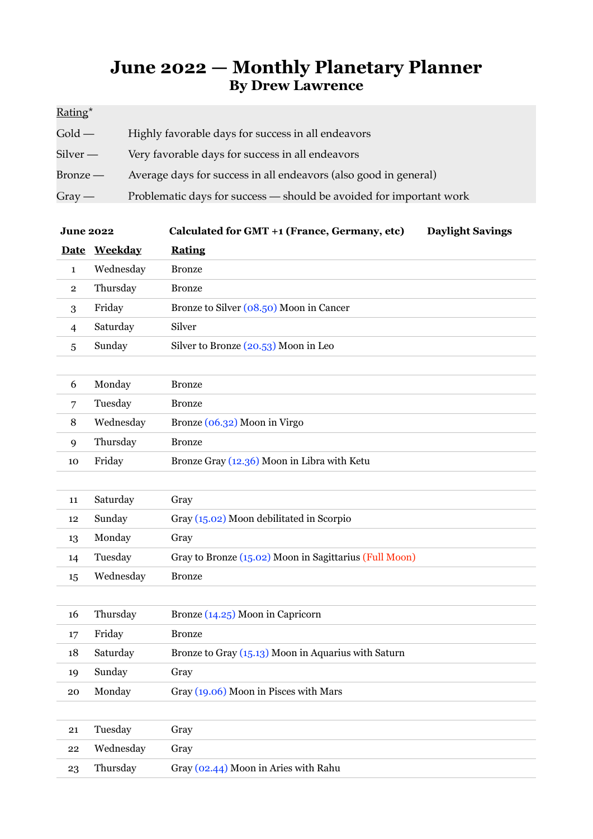## **June 2022 — Monthly Planetary Planner By Drew Lawrence**

| Rating*                    |                                                                     |
|----------------------------|---------------------------------------------------------------------|
| $\text{Gold} \,\text{---}$ | Highly favorable days for success in all endeavors                  |
| Silver —                   | Very favorable days for success in all endeavors                    |
| Bronze —                   | Average days for success in all endeavors (also good in general)    |
| Gray —                     | Problematic days for success - should be avoided for important work |

| <b>June 2022</b> |              | Calculated for GMT +1 (France, Germany, etc)<br><b>Daylight Savings</b> |
|------------------|--------------|-------------------------------------------------------------------------|
|                  | Date Weekday | <b>Rating</b>                                                           |
| $\mathbf{1}$     | Wednesday    | <b>Bronze</b>                                                           |
| $\mathbf{2}$     | Thursday     | <b>Bronze</b>                                                           |
| 3                | Friday       | Bronze to Silver (08.50) Moon in Cancer                                 |
| 4                | Saturday     | Silver                                                                  |
| 5                | Sunday       | Silver to Bronze (20.53) Moon in Leo                                    |
|                  |              |                                                                         |
| 6                | Monday       | <b>Bronze</b>                                                           |
| 7                | Tuesday      | <b>Bronze</b>                                                           |
| 8                | Wednesday    | Bronze (06.32) Moon in Virgo                                            |
| 9                | Thursday     | <b>Bronze</b>                                                           |
| 10               | Friday       | Bronze Gray (12.36) Moon in Libra with Ketu                             |
|                  |              |                                                                         |
| 11               | Saturday     | Gray                                                                    |
| 12               | Sunday       | Gray (15.02) Moon debilitated in Scorpio                                |
| 13               | Monday       | Gray                                                                    |
| 14               | Tuesday      | Gray to Bronze (15.02) Moon in Sagittarius (Full Moon)                  |
| 15               | Wednesday    | <b>Bronze</b>                                                           |
|                  |              |                                                                         |
| 16               | Thursday     | Bronze (14.25) Moon in Capricorn                                        |
| 17               | Friday       | <b>Bronze</b>                                                           |
| 18               | Saturday     | Bronze to Gray (15.13) Moon in Aquarius with Saturn                     |
| 19               | Sunday       | Gray                                                                    |
| 20               | Monday       | Gray (19.06) Moon in Pisces with Mars                                   |
|                  |              |                                                                         |
| 21               | Tuesday      | Gray                                                                    |
| 22               | Wednesday    | Gray                                                                    |
| 23               | Thursday     | Gray (02.44) Moon in Aries with Rahu                                    |